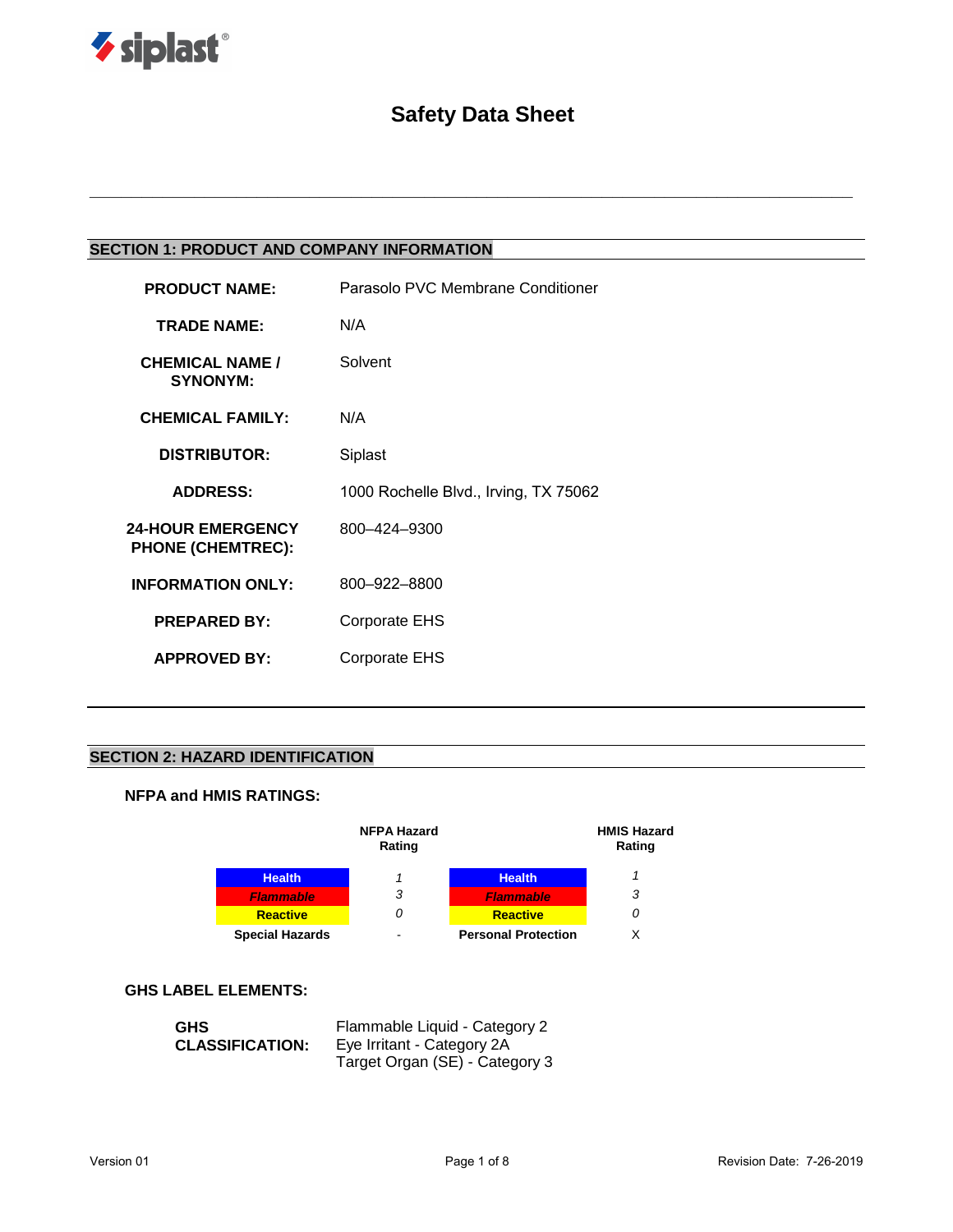

# **Safety Data Sheet**

**\_\_\_\_\_\_\_\_\_\_\_\_\_\_\_\_\_\_\_\_\_\_\_\_\_\_\_\_\_\_\_\_\_\_\_\_\_\_\_\_\_\_\_\_\_\_\_\_\_\_\_\_\_\_\_\_\_\_\_\_\_\_\_\_\_\_\_\_\_\_\_\_\_**

# **SECTION 1: PRODUCT AND COMPANY INFORMATION**

| <b>PRODUCT NAME:</b>                                 | Parasolo PVC Membrane Conditioner     |
|------------------------------------------------------|---------------------------------------|
| <b>TRADE NAME:</b>                                   | N/A                                   |
| <b>CHEMICAL NAME /</b><br><b>SYNONYM:</b>            | Solvent                               |
| <b>CHEMICAL FAMILY:</b>                              | N/A                                   |
| <b>DISTRIBUTOR:</b>                                  | Siplast                               |
| <b>ADDRESS:</b>                                      | 1000 Rochelle Blvd., Irving, TX 75062 |
| <b>24-HOUR EMERGENCY</b><br><b>PHONE (CHEMTREC):</b> | 800-424-9300                          |
| <b>INFORMATION ONLY:</b>                             | 800-922-8800                          |
| <b>PREPARED BY:</b>                                  | <b>Corporate EHS</b>                  |
| <b>APPROVED BY:</b>                                  | Corporate EHS                         |
|                                                      |                                       |

# **SECTION 2: HAZARD IDENTIFICATION**

# **NFPA and HMIS RATINGS:**



#### **GHS LABEL ELEMENTS:**

| <b>GHS</b>             | Flammable Liquid - Category 2  |
|------------------------|--------------------------------|
| <b>CLASSIFICATION:</b> | Eye Irritant - Category 2A     |
|                        | Target Organ (SE) - Category 3 |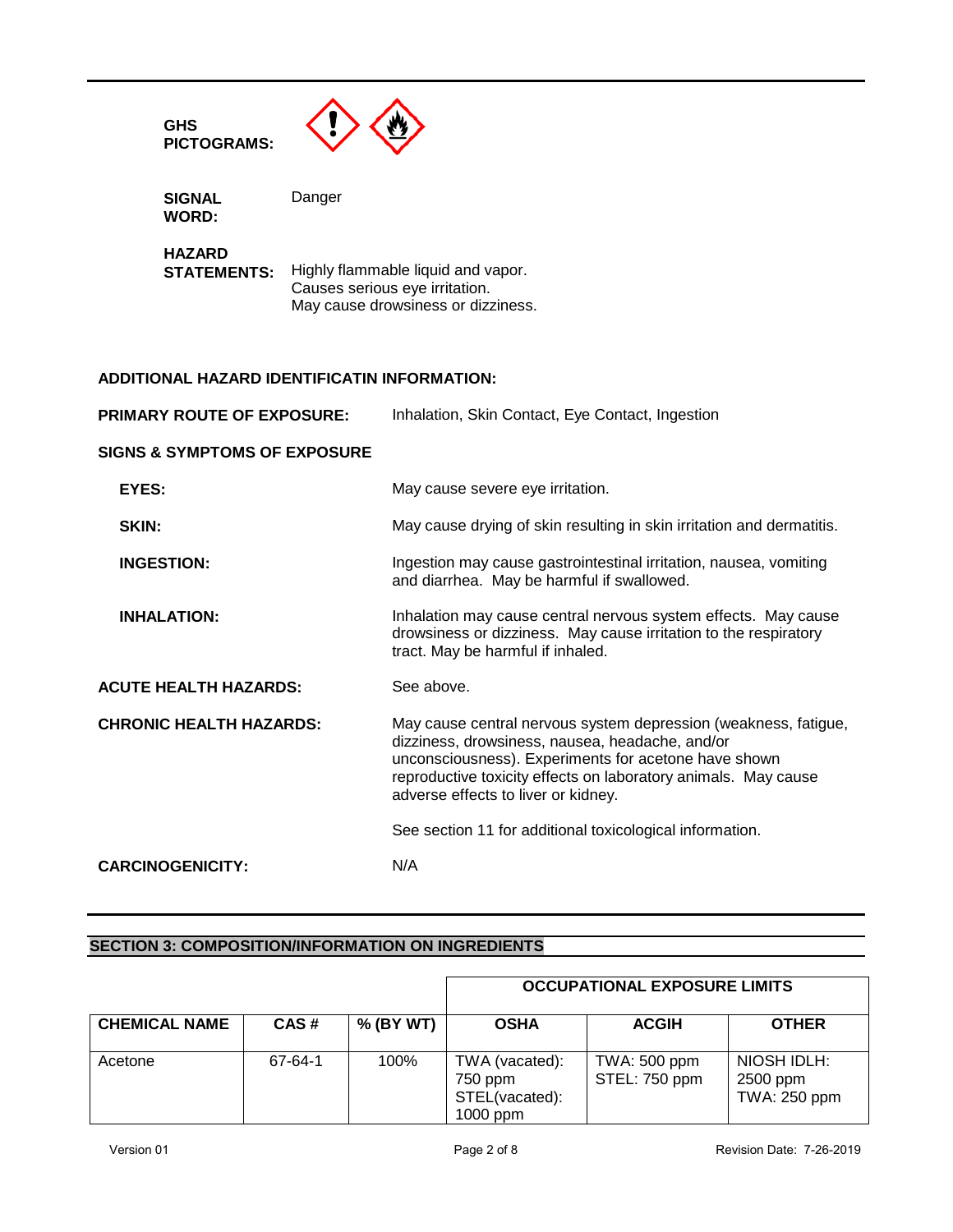

**SIGNAL WORD:**

**HAZARD** Highly flammable liquid and vapor. Causes serious eye irritation. May cause drowsiness or dizziness.

## **ADDITIONAL HAZARD IDENTIFICATIN INFORMATION:**

| <b>PRIMARY ROUTE OF EXPOSURE:</b>       | Inhalation, Skin Contact, Eye Contact, Ingestion                                                                                                                                                                                                                                    |  |
|-----------------------------------------|-------------------------------------------------------------------------------------------------------------------------------------------------------------------------------------------------------------------------------------------------------------------------------------|--|
| <b>SIGNS &amp; SYMPTOMS OF EXPOSURE</b> |                                                                                                                                                                                                                                                                                     |  |
| EYES:                                   | May cause severe eye irritation.                                                                                                                                                                                                                                                    |  |
| SKIN:                                   | May cause drying of skin resulting in skin irritation and dermatitis.                                                                                                                                                                                                               |  |
| <b>INGESTION:</b>                       | Ingestion may cause gastrointestinal irritation, nausea, vomiting<br>and diarrhea. May be harmful if swallowed.                                                                                                                                                                     |  |
| <b>INHALATION:</b>                      | Inhalation may cause central nervous system effects. May cause<br>drowsiness or dizziness. May cause irritation to the respiratory<br>tract. May be harmful if inhaled.                                                                                                             |  |
| <b>ACUTE HEALTH HAZARDS:</b>            | See above.                                                                                                                                                                                                                                                                          |  |
| <b>CHRONIC HEALTH HAZARDS:</b>          | May cause central nervous system depression (weakness, fatigue,<br>dizziness, drowsiness, nausea, headache, and/or<br>unconsciousness). Experiments for acetone have shown<br>reproductive toxicity effects on laboratory animals. May cause<br>adverse effects to liver or kidney. |  |
|                                         | See section 11 for additional toxicological information.                                                                                                                                                                                                                            |  |
| <b>CARCINOGENICITY:</b>                 | N/A                                                                                                                                                                                                                                                                                 |  |

## **SECTION 3: COMPOSITION/INFORMATION ON INGREDIENTS**

|                      |         |           | <b>OCCUPATIONAL EXPOSURE LIMITS</b>                     |                               |                                         |
|----------------------|---------|-----------|---------------------------------------------------------|-------------------------------|-----------------------------------------|
| <b>CHEMICAL NAME</b> | CAS#    | % (BY WT) | <b>OSHA</b>                                             | <b>ACGIH</b>                  | <b>OTHER</b>                            |
| Acetone              | 67-64-1 | 100%      | TWA (vacated):<br>750 ppm<br>STEL(vacated):<br>1000 ppm | TWA: 500 ppm<br>STEL: 750 ppm | NIOSH IDLH:<br>2500 ppm<br>TWA: 250 ppm |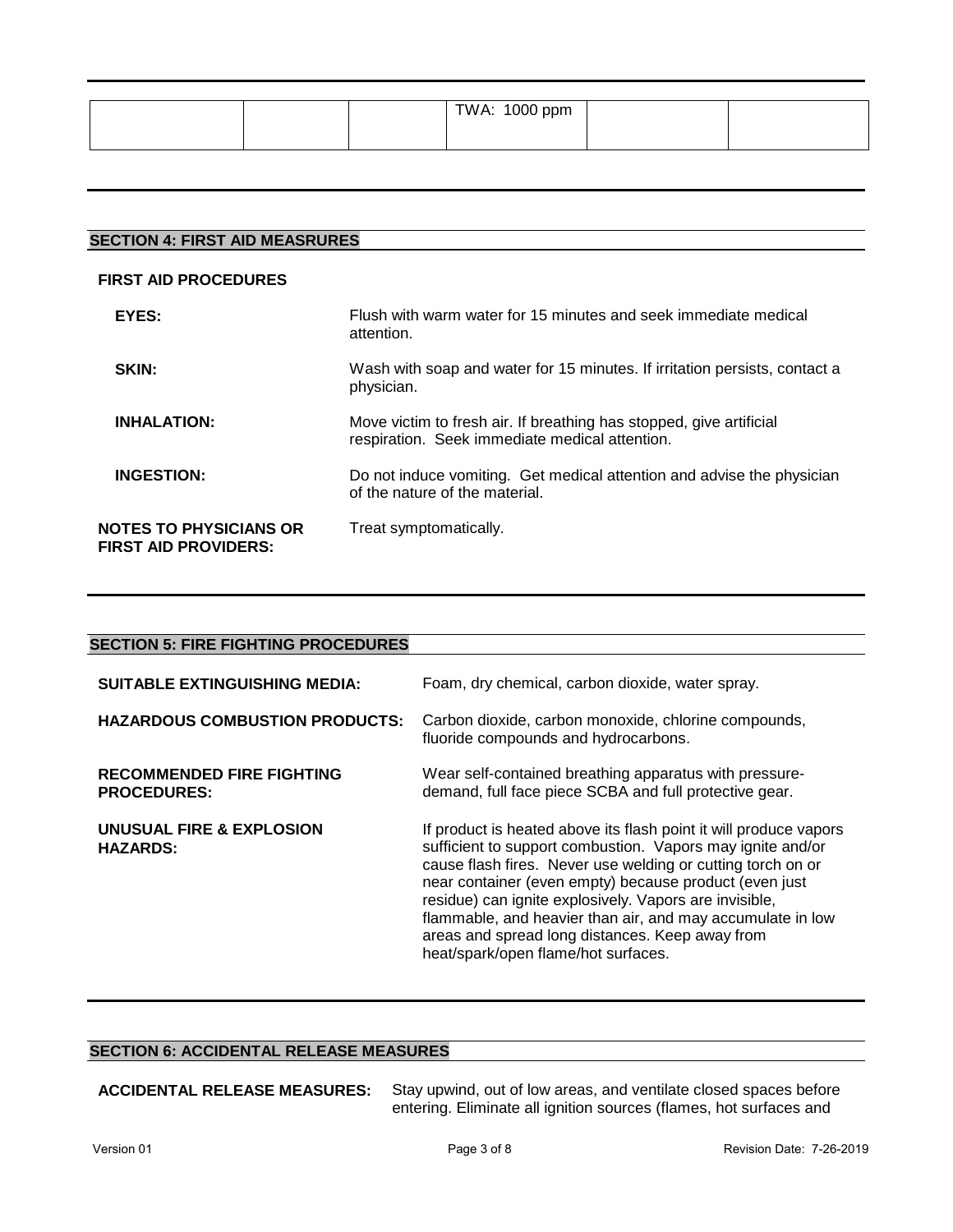|  | TWA: 1000 ppm |  |
|--|---------------|--|
|  |               |  |

# **SECTION 4: FIRST AID MEASRURES**

#### **FIRST AID PROCEDURES**

| EYES:                                                        | Flush with warm water for 15 minutes and seek immediate medical<br>attention.                                         |
|--------------------------------------------------------------|-----------------------------------------------------------------------------------------------------------------------|
| <b>SKIN:</b>                                                 | Wash with soap and water for 15 minutes. If irritation persists, contact a<br>physician.                              |
| <b>INHALATION:</b>                                           | Move victim to fresh air. If breathing has stopped, give artificial<br>respiration. Seek immediate medical attention. |
| <b>INGESTION:</b>                                            | Do not induce vomiting. Get medical attention and advise the physician<br>of the nature of the material.              |
| <b>NOTES TO PHYSICIANS OR</b><br><b>FIRST AID PROVIDERS:</b> | Treat symptomatically.                                                                                                |

| <b>SECTION 5: FIRE FIGHTING PROCEDURES</b>             |                                                                                                                                                                                                                                                                                                                                                                                                                                                                            |  |  |  |
|--------------------------------------------------------|----------------------------------------------------------------------------------------------------------------------------------------------------------------------------------------------------------------------------------------------------------------------------------------------------------------------------------------------------------------------------------------------------------------------------------------------------------------------------|--|--|--|
|                                                        |                                                                                                                                                                                                                                                                                                                                                                                                                                                                            |  |  |  |
| <b>SUITABLE EXTINGUISHING MEDIA:</b>                   | Foam, dry chemical, carbon dioxide, water spray.                                                                                                                                                                                                                                                                                                                                                                                                                           |  |  |  |
| <b>HAZARDOUS COMBUSTION PRODUCTS:</b>                  | Carbon dioxide, carbon monoxide, chlorine compounds,                                                                                                                                                                                                                                                                                                                                                                                                                       |  |  |  |
|                                                        | fluoride compounds and hydrocarbons.                                                                                                                                                                                                                                                                                                                                                                                                                                       |  |  |  |
| <b>RECOMMENDED FIRE FIGHTING</b><br><b>PROCEDURES:</b> | Wear self-contained breathing apparatus with pressure-<br>demand, full face piece SCBA and full protective gear.                                                                                                                                                                                                                                                                                                                                                           |  |  |  |
| UNUSUAL FIRE & EXPLOSION<br><b>HAZARDS:</b>            | If product is heated above its flash point it will produce vapors<br>sufficient to support combustion. Vapors may ignite and/or<br>cause flash fires. Never use welding or cutting torch on or<br>near container (even empty) because product (even just<br>residue) can ignite explosively. Vapors are invisible,<br>flammable, and heavier than air, and may accumulate in low<br>areas and spread long distances. Keep away from<br>heat/spark/open flame/hot surfaces. |  |  |  |

# **SECTION 6: ACCIDENTAL RELEASE MEASURES**

**ACCIDENTAL RELEASE MEASURES:** Stay upwind, out of low areas, and ventilate closed spaces before entering. Eliminate all ignition sources (flames, hot surfaces and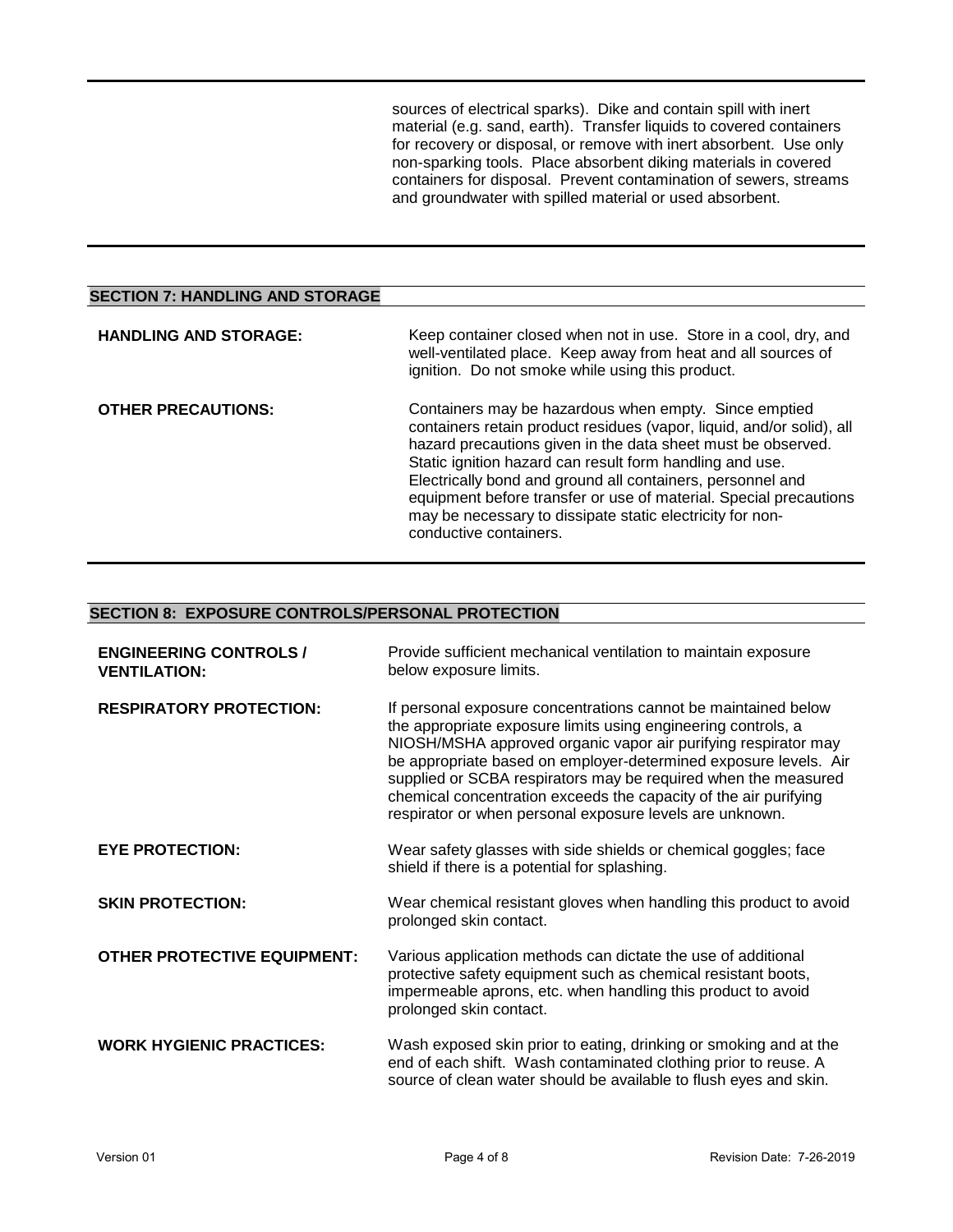sources of electrical sparks). Dike and contain spill with inert material (e.g. sand, earth). Transfer liquids to covered containers for recovery or disposal, or remove with inert absorbent. Use only non-sparking tools. Place absorbent diking materials in covered containers for disposal. Prevent contamination of sewers, streams and groundwater with spilled material or used absorbent.

| <b>SECTION 7: HANDLING AND STORAGE</b> |                                                                                                                                                                                                                                                                                                                                                                                                                                                                                      |
|----------------------------------------|--------------------------------------------------------------------------------------------------------------------------------------------------------------------------------------------------------------------------------------------------------------------------------------------------------------------------------------------------------------------------------------------------------------------------------------------------------------------------------------|
| <b>HANDLING AND STORAGE:</b>           | Keep container closed when not in use. Store in a cool, dry, and<br>well-ventilated place. Keep away from heat and all sources of<br>ignition. Do not smoke while using this product.                                                                                                                                                                                                                                                                                                |
| <b>OTHER PRECAUTIONS:</b>              | Containers may be hazardous when empty. Since emptied<br>containers retain product residues (vapor, liquid, and/or solid), all<br>hazard precautions given in the data sheet must be observed.<br>Static ignition hazard can result form handling and use.<br>Electrically bond and ground all containers, personnel and<br>equipment before transfer or use of material. Special precautions<br>may be necessary to dissipate static electricity for non-<br>conductive containers. |

### **SECTION 8: EXPOSURE CONTROLS/PERSONAL PROTECTION**

| <b>ENGINEERING CONTROLS /</b><br><b>VENTILATION:</b> | Provide sufficient mechanical ventilation to maintain exposure<br>below exposure limits.                                                                                                                                                                                                                                                                                                                                                                                |
|------------------------------------------------------|-------------------------------------------------------------------------------------------------------------------------------------------------------------------------------------------------------------------------------------------------------------------------------------------------------------------------------------------------------------------------------------------------------------------------------------------------------------------------|
| <b>RESPIRATORY PROTECTION:</b>                       | If personal exposure concentrations cannot be maintained below<br>the appropriate exposure limits using engineering controls, a<br>NIOSH/MSHA approved organic vapor air purifying respirator may<br>be appropriate based on employer-determined exposure levels. Air<br>supplied or SCBA respirators may be required when the measured<br>chemical concentration exceeds the capacity of the air purifying<br>respirator or when personal exposure levels are unknown. |
| <b>EYE PROTECTION:</b>                               | Wear safety glasses with side shields or chemical goggles; face<br>shield if there is a potential for splashing.                                                                                                                                                                                                                                                                                                                                                        |
| <b>SKIN PROTECTION:</b>                              | Wear chemical resistant gloves when handling this product to avoid<br>prolonged skin contact.                                                                                                                                                                                                                                                                                                                                                                           |
| <b>OTHER PROTECTIVE EQUIPMENT:</b>                   | Various application methods can dictate the use of additional<br>protective safety equipment such as chemical resistant boots,<br>impermeable aprons, etc. when handling this product to avoid<br>prolonged skin contact.                                                                                                                                                                                                                                               |
| <b>WORK HYGIENIC PRACTICES:</b>                      | Wash exposed skin prior to eating, drinking or smoking and at the<br>end of each shift. Wash contaminated clothing prior to reuse. A<br>source of clean water should be available to flush eyes and skin.                                                                                                                                                                                                                                                               |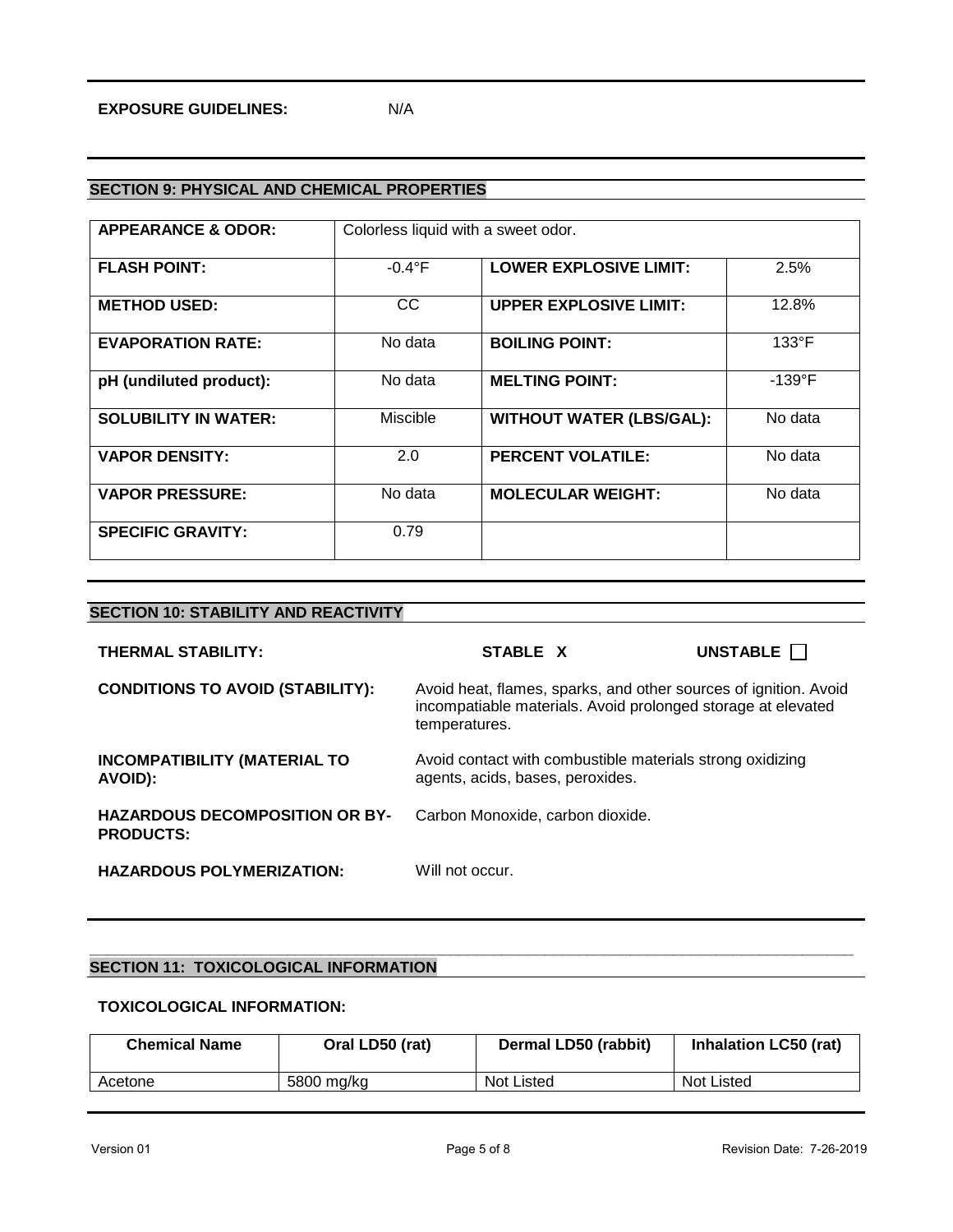# **SECTION 9: PHYSICAL AND CHEMICAL PROPERTIES**

| <b>APPEARANCE &amp; ODOR:</b> | Colorless liquid with a sweet odor. |                                 |                  |
|-------------------------------|-------------------------------------|---------------------------------|------------------|
| <b>FLASH POINT:</b>           | $-0.4^{\circ}$ F                    | <b>LOWER EXPLOSIVE LIMIT:</b>   | 2.5%             |
| <b>METHOD USED:</b>           | <sub>CC</sub>                       | <b>UPPER EXPLOSIVE LIMIT:</b>   | 12.8%            |
| <b>EVAPORATION RATE:</b>      | No data                             | <b>BOILING POINT:</b>           | $133^{\circ}F$   |
| pH (undiluted product):       | No data                             | <b>MELTING POINT:</b>           | $-139^{\circ}$ F |
| <b>SOLUBILITY IN WATER:</b>   | <b>Miscible</b>                     | <b>WITHOUT WATER (LBS/GAL):</b> | No data          |
| <b>VAPOR DENSITY:</b>         | 2.0                                 | <b>PERCENT VOLATILE:</b>        | No data          |
| <b>VAPOR PRESSURE:</b>        | No data                             | <b>MOLECULAR WEIGHT:</b>        | No data          |
| <b>SPECIFIC GRAVITY:</b>      | 0.79                                |                                 |                  |

| <b>THERMAL STABILITY:</b>                                 | STABLE X                                                                                                                                          | UNSTABLE <b>N</b> |
|-----------------------------------------------------------|---------------------------------------------------------------------------------------------------------------------------------------------------|-------------------|
| <b>CONDITIONS TO AVOID (STABILITY):</b>                   | Avoid heat, flames, sparks, and other sources of ignition. Avoid<br>incompatiable materials. Avoid prolonged storage at elevated<br>temperatures. |                   |
| <b>INCOMPATIBILITY (MATERIAL TO</b><br>AVOID):            | Avoid contact with combustible materials strong oxidizing<br>agents, acids, bases, peroxides.                                                     |                   |
| <b>HAZARDOUS DECOMPOSITION OR BY-</b><br><b>PRODUCTS:</b> | Carbon Monoxide, carbon dioxide.                                                                                                                  |                   |
| <b>HAZARDOUS POLYMERIZATION:</b>                          | Will not occur.                                                                                                                                   |                   |

#### **\_\_\_\_\_\_\_\_\_\_\_\_\_\_\_\_\_\_\_\_\_\_\_\_\_\_\_\_\_\_\_\_\_\_\_\_\_\_\_\_\_\_\_\_\_\_\_\_\_\_\_\_\_\_\_\_\_\_\_\_\_\_\_\_\_\_\_\_\_\_\_\_\_\_\_\_\_\_\_\_\_\_\_\_\_\_\_\_\_ SECTION 11: TOXICOLOGICAL INFORMATION**

**SECTION 10: STABILITY AND REACTIVITY**

# **TOXICOLOGICAL INFORMATION:**

| <b>Chemical Name</b> | Oral LD50 (rat) | Dermal LD50 (rabbit) | <b>Inhalation LC50 (rat)</b> |
|----------------------|-----------------|----------------------|------------------------------|
| Acetone              | 5800 ma/ka      | Not Listed           | Not Listed                   |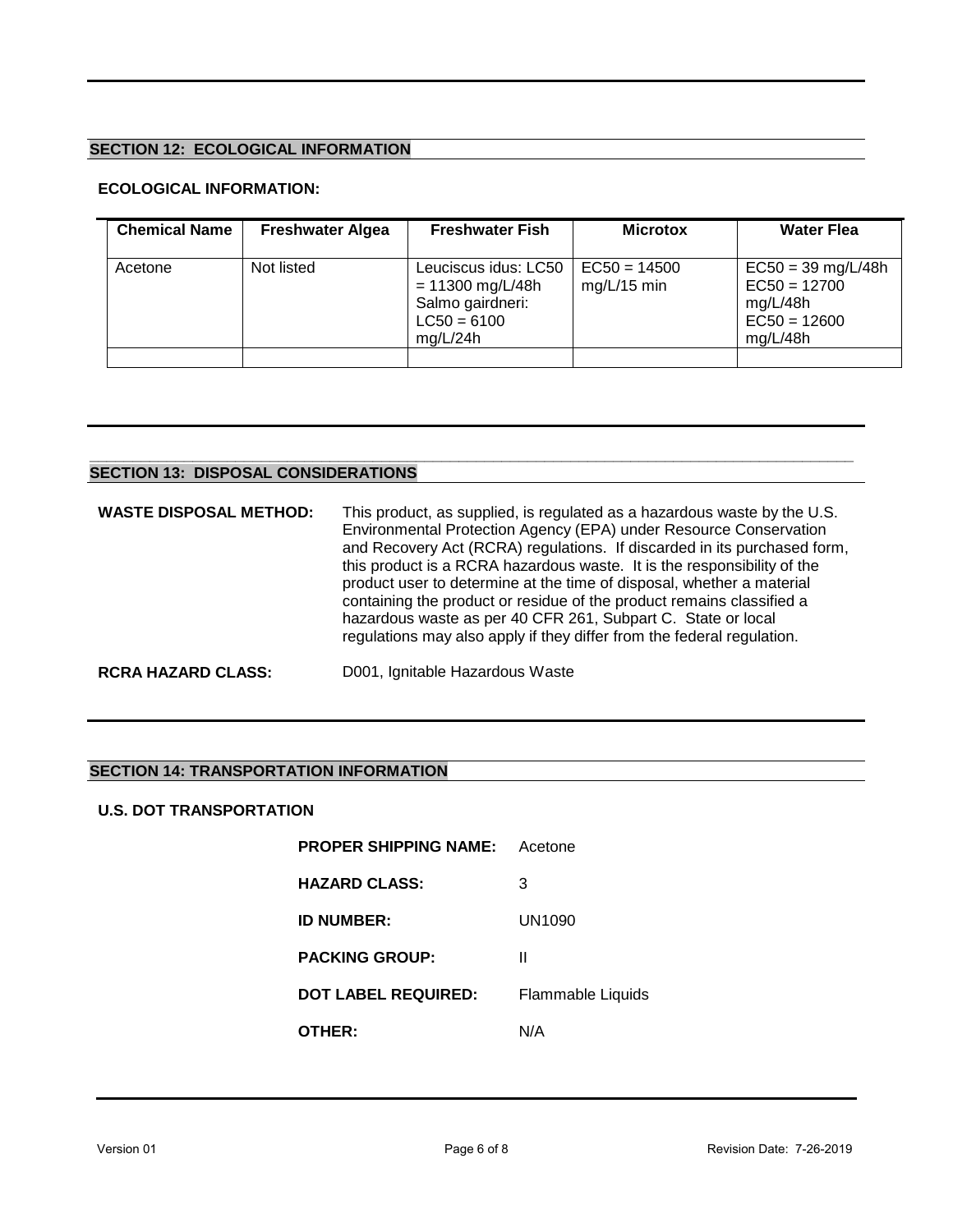# **SECTION 12: ECOLOGICAL INFORMATION**

# **ECOLOGICAL INFORMATION:**

| <b>Chemical Name</b> | <b>Freshwater Algea</b> | <b>Freshwater Fish</b>                                                                      | <b>Microtox</b>                 | <b>Water Flea</b>                                                                |
|----------------------|-------------------------|---------------------------------------------------------------------------------------------|---------------------------------|----------------------------------------------------------------------------------|
| Acetone              | Not listed              | Leuciscus idus: LC50<br>$= 11300$ mg/L/48h<br>Salmo gairdneri:<br>$LC50 = 6100$<br>mg/L/24h | $EC50 = 14500$<br>$mg/L/15$ min | $EC50 = 39$ mg/L/48h<br>$EC50 = 12700$<br>mg/L/48h<br>$EC50 = 12600$<br>mg/L/48h |
|                      |                         |                                                                                             |                                 |                                                                                  |

#### **\_\_\_\_\_\_\_\_\_\_\_\_\_\_\_\_\_\_\_\_\_\_\_\_\_\_\_\_\_\_\_\_\_\_\_\_\_\_\_\_\_\_\_\_\_\_\_\_\_\_\_\_\_\_\_\_\_\_\_\_\_\_\_\_\_\_\_\_\_\_\_\_\_\_\_\_\_\_\_\_\_\_\_\_\_\_\_\_\_ SECTION 13: DISPOSAL CONSIDERATIONS**

| <b>WASTE DISPOSAL METHOD:</b> | This product, as supplied, is regulated as a hazardous waste by the U.S.<br>Environmental Protection Agency (EPA) under Resource Conservation<br>and Recovery Act (RCRA) regulations. If discarded in its purchased form,<br>this product is a RCRA hazardous waste. It is the responsibility of the<br>product user to determine at the time of disposal, whether a material<br>containing the product or residue of the product remains classified a<br>hazardous waste as per 40 CFR 261, Subpart C. State or local<br>regulations may also apply if they differ from the federal regulation. |
|-------------------------------|--------------------------------------------------------------------------------------------------------------------------------------------------------------------------------------------------------------------------------------------------------------------------------------------------------------------------------------------------------------------------------------------------------------------------------------------------------------------------------------------------------------------------------------------------------------------------------------------------|
| <b>RCRA HAZARD CLASS:</b>     | D001, Ignitable Hazardous Waste                                                                                                                                                                                                                                                                                                                                                                                                                                                                                                                                                                  |

# **SECTION 14: TRANSPORTATION INFORMATION**

#### **U.S. DOT TRANSPORTATION**

| <b>PROPER SHIPPING NAME:</b> | Acetone                  |
|------------------------------|--------------------------|
| <b>HAZARD CLASS:</b>         | 3                        |
| <b>ID NUMBER:</b>            | UN1090                   |
| <b>PACKING GROUP:</b>        | Ш                        |
| <b>DOT LABEL REQUIRED:</b>   | <b>Flammable Liquids</b> |
| OTHER:                       | N/A                      |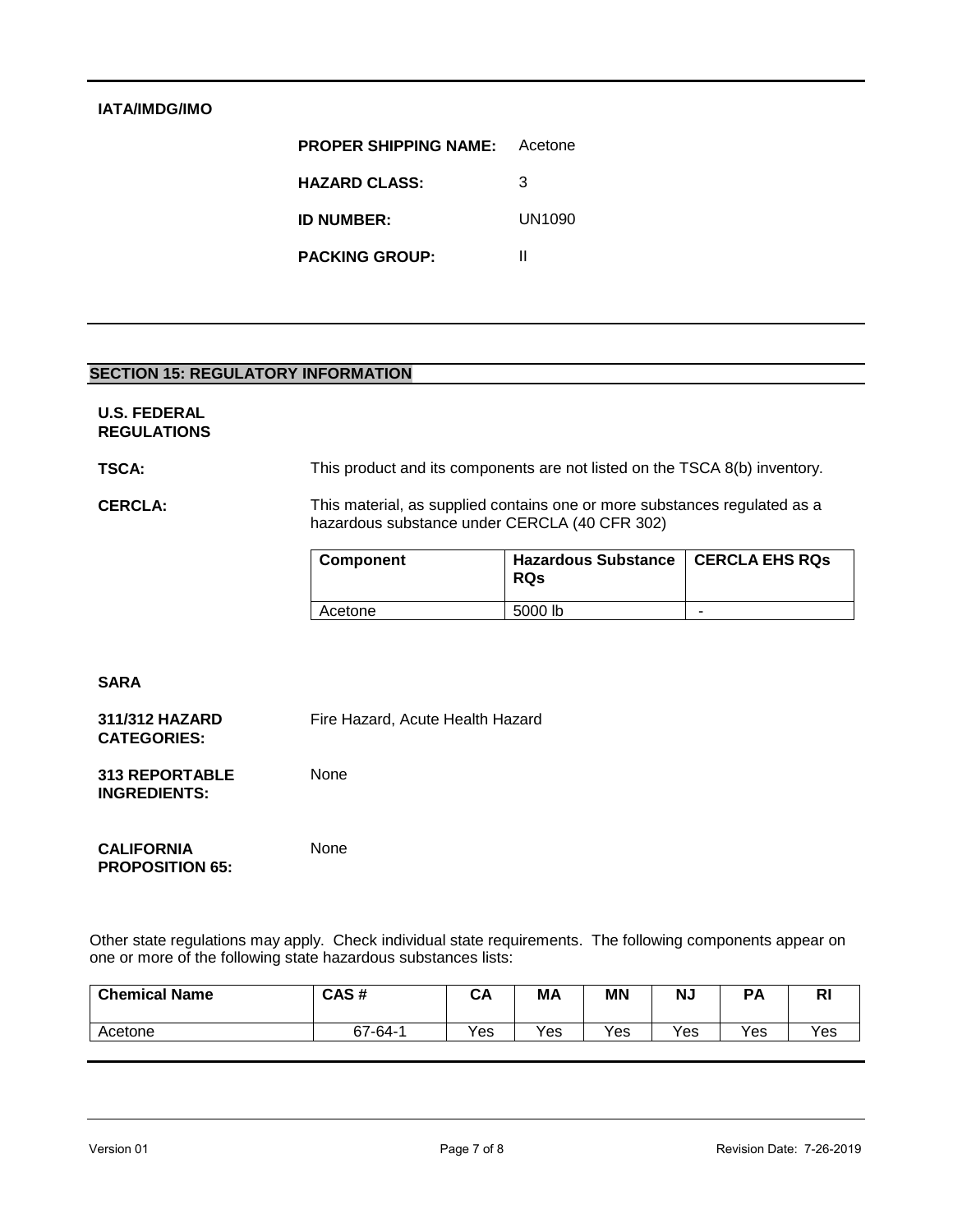# **IATA/IMDG/IMO**

| <b>PROPER SHIPPING NAME:</b> | Acetone |  |
|------------------------------|---------|--|
| <b>HAZARD CLASS:</b>         | 3       |  |
| <b>ID NUMBER:</b>            | UN1090  |  |
| <b>PACKING GROUP:</b>        | н       |  |

#### **SECTION 15: REGULATORY INFORMATION**

#### **U.S. FEDERAL REGULATIONS**

**TSCA:** This product and its components are not listed on the TSCA 8(b) inventory.

#### **CERCLA:** This material, as supplied contains one or more substances regulated as a hazardous substance under CERCLA (40 CFR 302)

| <b>Component</b> | Hazardous Substance   CERCLA EHS RQs<br><b>RQs</b> |   |
|------------------|----------------------------------------------------|---|
| Acetone          | 5000 lb                                            | - |

#### **SARA**

**311/312 HAZARD CATEGORIES:** Fire Hazard, Acute Health Hazard

**313 REPORTABLE INGREDIENTS:** None

**CALIFORNIA PROPOSITION 65:** 

None

Other state regulations may apply. Check individual state requirements. The following components appear on one or more of the following state hazardous substances lists:

| <b>Chemical Name</b> | CAS#        | CA  | МA  | <b>MN</b> | <b>NJ</b> | <b>PA</b> | D<br>NI  |
|----------------------|-------------|-----|-----|-----------|-----------|-----------|----------|
| Acetone              | $67 - 64 -$ | Yes | Yes | Yes       | Yes       | Yes       | $v_{es}$ |